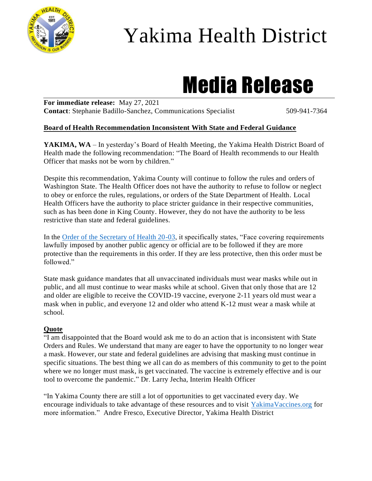

## Yakima Health District

# Media Release

**For immediate release:** May 27, 2021 **Contact:** Stephanie Badillo-Sanchez, Communications Specialist 509-941-7364

#### **Board of Health Recommendation Inconsistent With State and Federal Guidance**

YAKIMA, WA – In yesterday's Board of Health Meeting, the Yakima Health District Board of Health made the following recommendation: "The Board of Health recommends to our Health Officer that masks not be worn by children."

Despite this recommendation, Yakima County will continue to follow the rules and orders of Washington State. The Health Officer does not have the authority to refuse to follow or neglect to obey or enforce the rules, regulations, or orders of the State Department of Health. Local Health Officers have the authority to place stricter guidance in their respective communities, such as has been done in King County. However, they do not have the authority to be less restrictive than state and federal guidelines.

In the [Order of the Secretary of Health 20-03,](https://www.doh.wa.gov/Portals/1/Documents/1600/coronavirus/Secretary_of_Health_Order_20-03_Statewide_Face_Coverings.pdf) it specifically states, "Face covering requirements lawfully imposed by another public agency or official are to be followed if they are more protective than the requirements in this order. If they are less protective, then this order must be followed."

State mask guidance mandates that all unvaccinated individuals must wear masks while out in public, and all must continue to wear masks while at school. Given that only those that are 12 and older are eligible to receive the COVID-19 vaccine, everyone 2-11 years old must wear a mask when in public, and everyone 12 and older who attend K-12 must wear a mask while at school.

#### **Quote**

"I am disappointed that the Board would ask me to do an action that is inconsistent with State Orders and Rules. We understand that many are eager to have the opportunity to no longer wear a mask. However, our state and federal guidelines are advising that masking must continue in specific situations. The best thing we all can do as members of this community to get to the point where we no longer must mask, is get vaccinated. The vaccine is extremely effective and is our tool to overcome the pandemic." Dr. Larry Jecha, Interim Health Officer

"In Yakima County there are still a lot of opportunities to get vaccinated every day. We encourage individuals to take advantage of these resources and to visit [YakimaVaccines.org](https://www.yakimacounty.us/2472/COVID-19-Vaccine) for more information." Andre Fresco, Executive Director, Yakima Health District